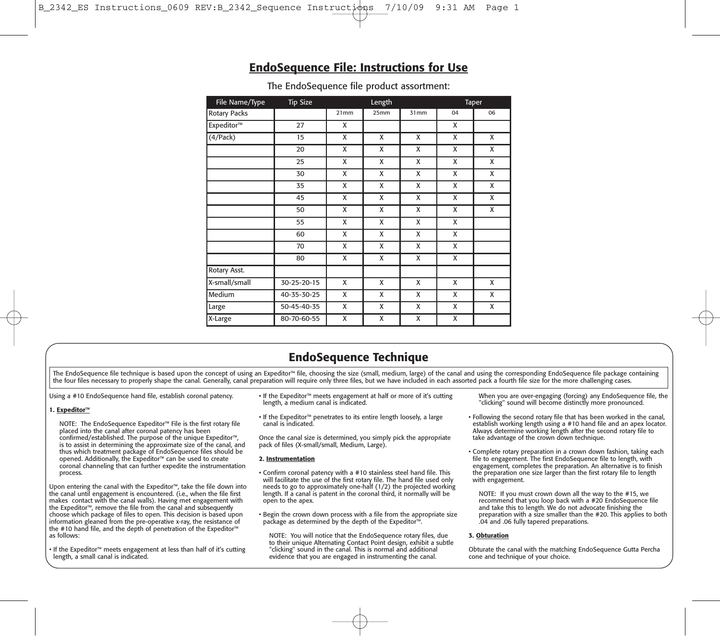# **EndoSequence File: Instructions for Use**

| File Name/Type      | <b>Tip Size</b> | Length |      |      | Taper |    |
|---------------------|-----------------|--------|------|------|-------|----|
| <b>Rotary Packs</b> |                 | 21mm   | 25mm | 31mm | 04    | 06 |
| Expeditor™          | 27              | X      |      |      | X     |    |
| (4/Pack)            | 15              | X      | X    | X    | X     | X  |
|                     | 20              | X      | X    | X    | X     | X  |
|                     | 25              | X      | X    | X    | X     | X  |
|                     | 30              | X      | X    | x    | X     | X  |
|                     | 35              | X      | X    | X    | X     | X  |
|                     | 45              | X      | X    | X    | X     | X  |
|                     | 50              | X      | X    | X    | X     | X  |
|                     | 55              | X      | X    | X    | X     |    |
|                     | 60              | X      | X    | X    | X     |    |
|                     | 70              | X      | X    | X    | X     |    |
|                     | 80              | X      | X    | X    | X     |    |
| Rotary Asst.        |                 |        |      |      |       |    |
| X-small/small       | 30-25-20-15     | X      | X    | X    | X     | x  |
| Medium              | 40-35-30-25     | X      | X    | X    | X     | X  |
| Large               | 50-45-40-35     | X      | X    | X    | x     | x  |
| X-Large             | 80-70-60-55     | X      | X    | X    | X     |    |

The EndoSequence file product assortment:

# **EndoSequence Technique**

The EndoSequence file technique is based upon the concept of using an Expeditor™ file, choosing the size (small, medium, large) of the canal and using the corresponding EndoSequence file package containing the four files necessary to properly shape the canal. Generally, canal preparation will require only three files, but we have included in each assorted pack a fourth file size for the more challenging cases.

Using a #10 EndoSequence hand file, establish coronal patency.

## **1. Expeditor™**

NOTE: The EndoSequence Expeditor™ File is the first rotary file placed into the canal after coronal patency has been confirmed/established. The purpose of the unique Expeditor™, is to assist in determining the approximate size of the canal, and thus which treatment package of EndoSequence files should be opened. Additionally, the Expeditor™ can be used to create coronal channeling that can further expedite the instrumentation process.

Upon entering the canal with the Expeditor™, take the file down into the canal until engagement is encountered. (i.e., when the file first makes contact with the canal walls). Having met engagement with the Expeditor™, remove the file from the canal and subsequently choose which package of files to open. This decision is based upon information gleaned from the pre-operative x-ray, the resistance of the #10 hand file, and the depth of penetration of the Expeditor™ as follows:

• If the Expeditor™ meets engagement at less than half of it's cutting length, a small canal is indicated.

- If the Expeditor™ meets engagement at half or more of it's cutting length, a medium canal is indicated.
- If the Expeditor™ penetrates to its entire length loosely, a large canal is indicated.

Once the canal size is determined, you simply pick the appropriate pack of files (X-small/small, Medium, Large).

### **2. Instrumentation**

• Confirm coronal patency with a #10 stainless steel hand file. This will facilitate the use of the first rotary file. The hand file used only needs to go to approximately one-half (1/2) the projected working length. If a canal is patent in the coronal third, it normally will be open to the apex.

• Begin the crown down process with a file from the appropriate size package as determined by the depth of the Expeditor™.

NOTE: You will notice that the EndoSequence rotary files, due to their unique Alternating Contact Point design, exhibit a subtle "clicking" sound in the canal. This is normal and additional evidence that you are engaged in instrumenting the canal.

When you are over-engaging (forcing) any EndoSequence file, the "clicking" sound will become distinctly more pronounced.

- Following the second rotary file that has been worked in the canal, establish working length using a #10 hand file and an apex locator. Always determine working length after the second rotary file to take advantage of the crown down technique.
- Complete rotary preparation in a crown down fashion, taking each file to engagement. The first EndoSequence file to length, with engagement, completes the preparation. An alternative is to finish the preparation one size larger than the first rotary file to length with engagement.

NOTE: If you must crown down all the way to the #15, we recommend that you loop back with a #20 EndoSequence file and take this to length. We do not advocate finishing the preparation with a size smaller than the #20. This applies to both .04 and .06 fully tapered preparations.

## **3. Obturation**

Obturate the canal with the matching EndoSequence Gutta Percha cone and technique of your choice.